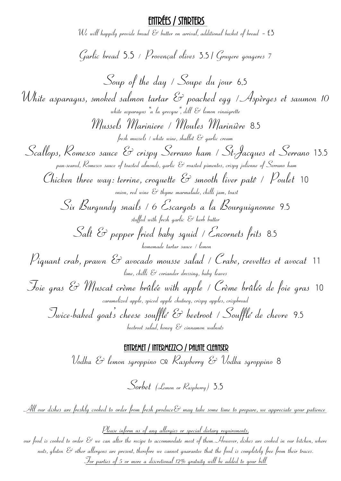## Entrées / Starters

We will happily provide bread  $\mathcal E$  butter on arrival, additional basket of bread  $\,$  - <code>f3</code>

Garlic bread 5.5 / Provençal olives 3.5 / Gruyere gougeres 7

Soup of the day / Soupe du jour 6.5 White asparagus, smoked salmon tartar & poached egg / Aspèrges et saumon 10 white asparagus  $"$ a la grecque", dill  $\mathcal{E}$  lemon vinaigrette Mussels Mariniere / Moules Marinière 8.5 fresh mussels / white wine, shallot  $\mathscr C$  garlic cream Scallops, Romesco sauce & crispy Serrano ham / St-Jacques et Serrano 13.5 pan-seared, Romesco sauce of toasted almonds, garlic & roasted pimentos, crispy julienne of Serrano ham Chicken three way: terrine, croquette  $\mathcal C$  smooth liver patê /  $\mathcal P$ oulet 10 onion, red wine  $\mathscr{E}$  thyme marmalade, chilli jam, toast Six Burgundy snails / 6 Escargots a la Bourguignonne 9.5 stuffed with fresh garlic & herb butter Salt & pepper fried baby squid / Encornets frits 8.5 homemade tartar sauce / lemon Piquant crab, prawn & avocado mousse salad / Crabe, crevettes et avocat <sup>11</sup> lime, chilli  $\mathcal E$  coriander dressing, baby leaves Foie gras & Muscat crème brûlée with apple / Crème brûlée de foie gras <sup>10</sup> caramelized apple, spiced apple chutney, crispy apples, crispbread Twice-baked goat's cheese soufflé & beetroot / Soufflé de chevre 9.5  $beetroot$  salad, honey  $\mathcal{E}$  cinnamon walnuts

## Entremet / INTERMEZZO / palate cleanser

Vodka & lemon sgroppino or Raspberry & Vodka sgroppino 8

Sorbet (Lemon or Raspberry) 3.5

<u>All our dishes are freshly cooked to order from fresh produce  $\mathcal{E}$  may take some time to prepare, we appreciate your patience</u>

Please inform us of any allergies or special dietary requirements,

our food is cooked to order  $\mathscr C$  we can alter the recipe to accommodate most of them. However, dishes are cooked in our kitchen, where nuts, gluten & other allergens are present, therefore we cannot guarantee that the food is completely free from their traces. For parties of 5 or more a discretional 12% gratuity will be added to your bill